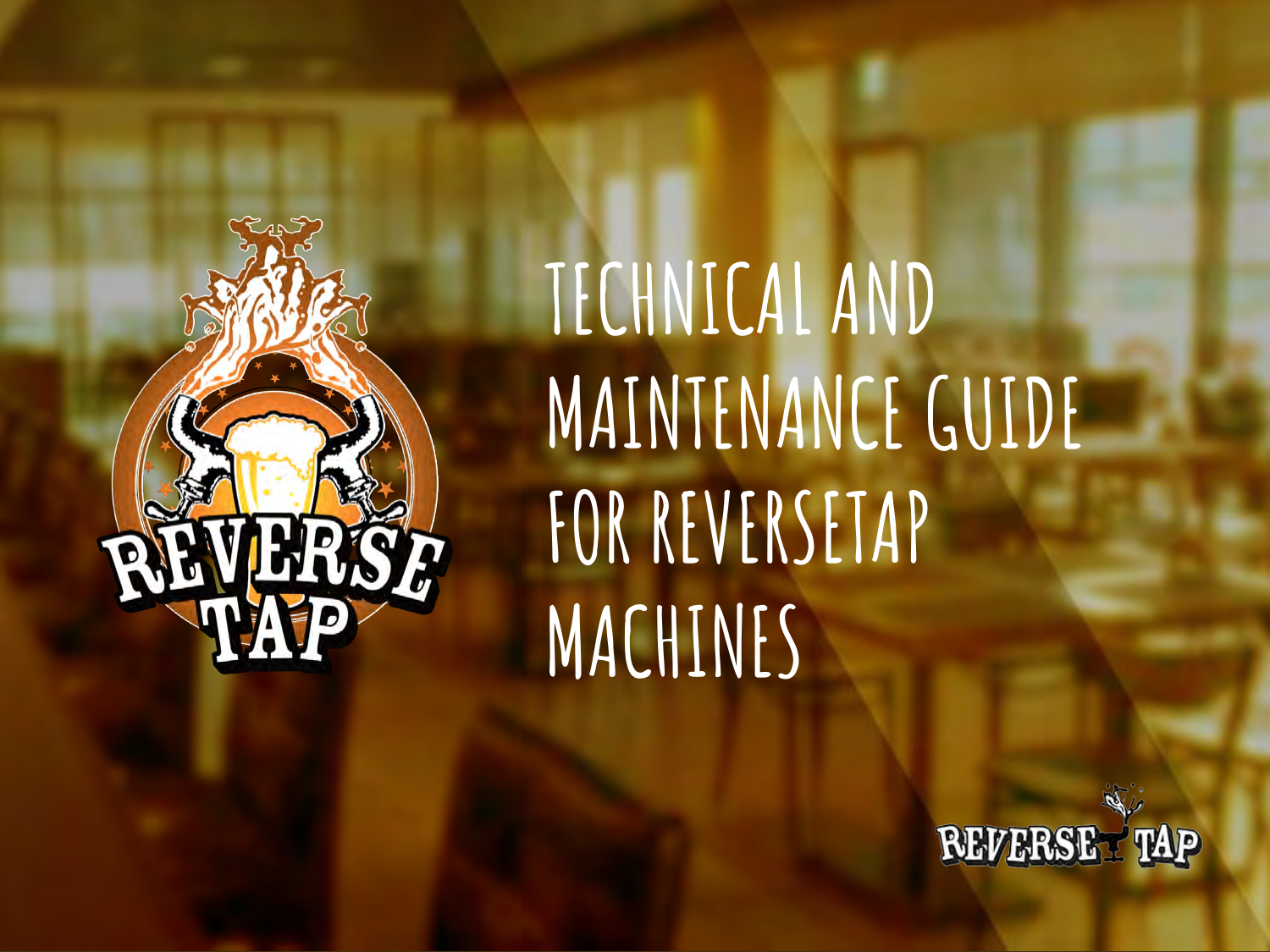

# **TECHNICAL AND MAINTENANCE GUIDE FOR REVERSETAP MACHINES**

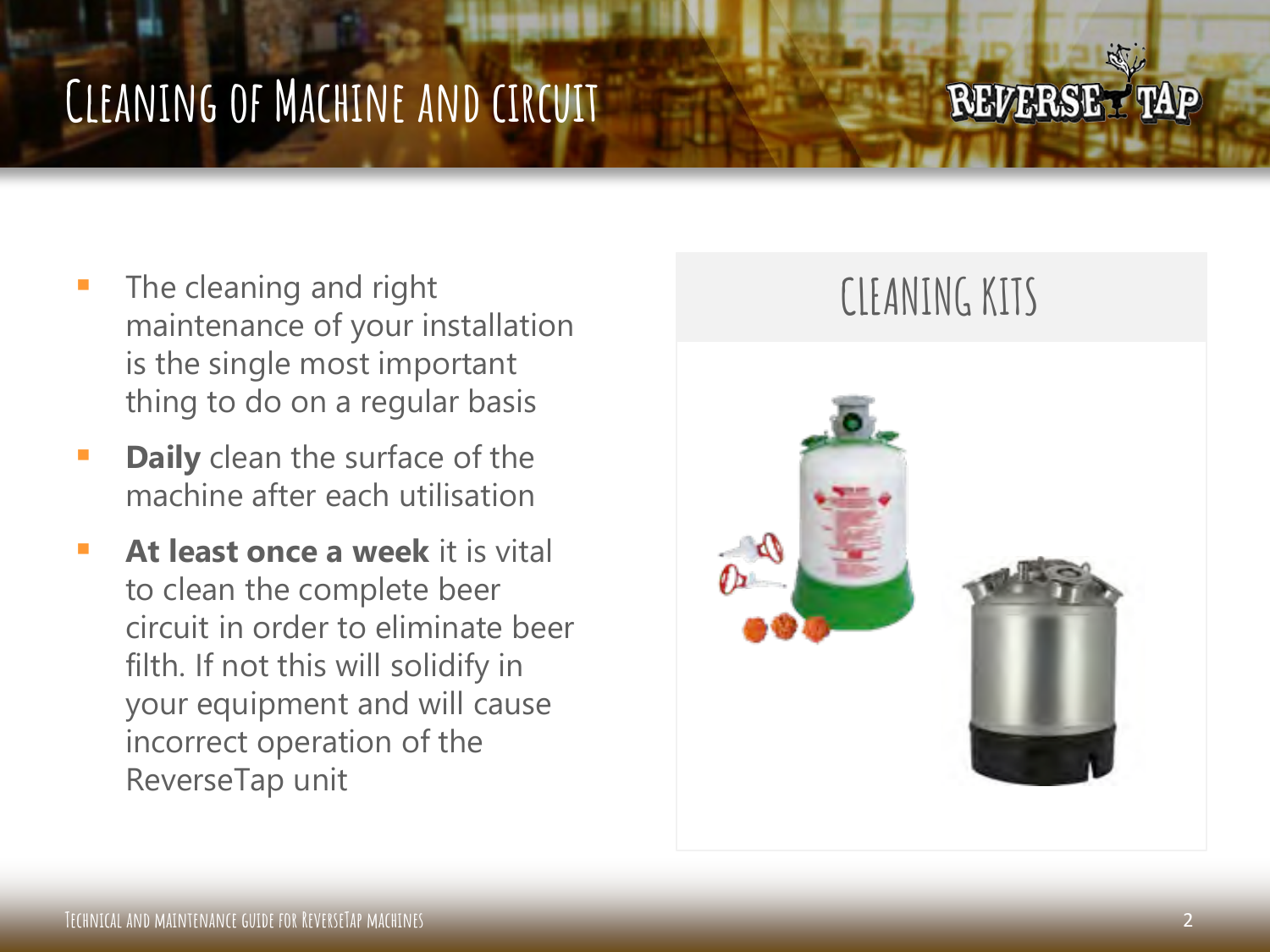## **Cleaning of Machine and circuit**

### **REVERSET TAP**

- The cleaning and right maintenance of your installation is the single most important thing to do on a regular basis
- **Daily** clean the surface of the machine after each utilisation
- **At least once a week** it is vital to clean the complete beer circuit in order to eliminate beer filth. If not this will solidify in your equipment and will cause incorrect operation of the ReverseTap unit

### **CLEANING KITS**

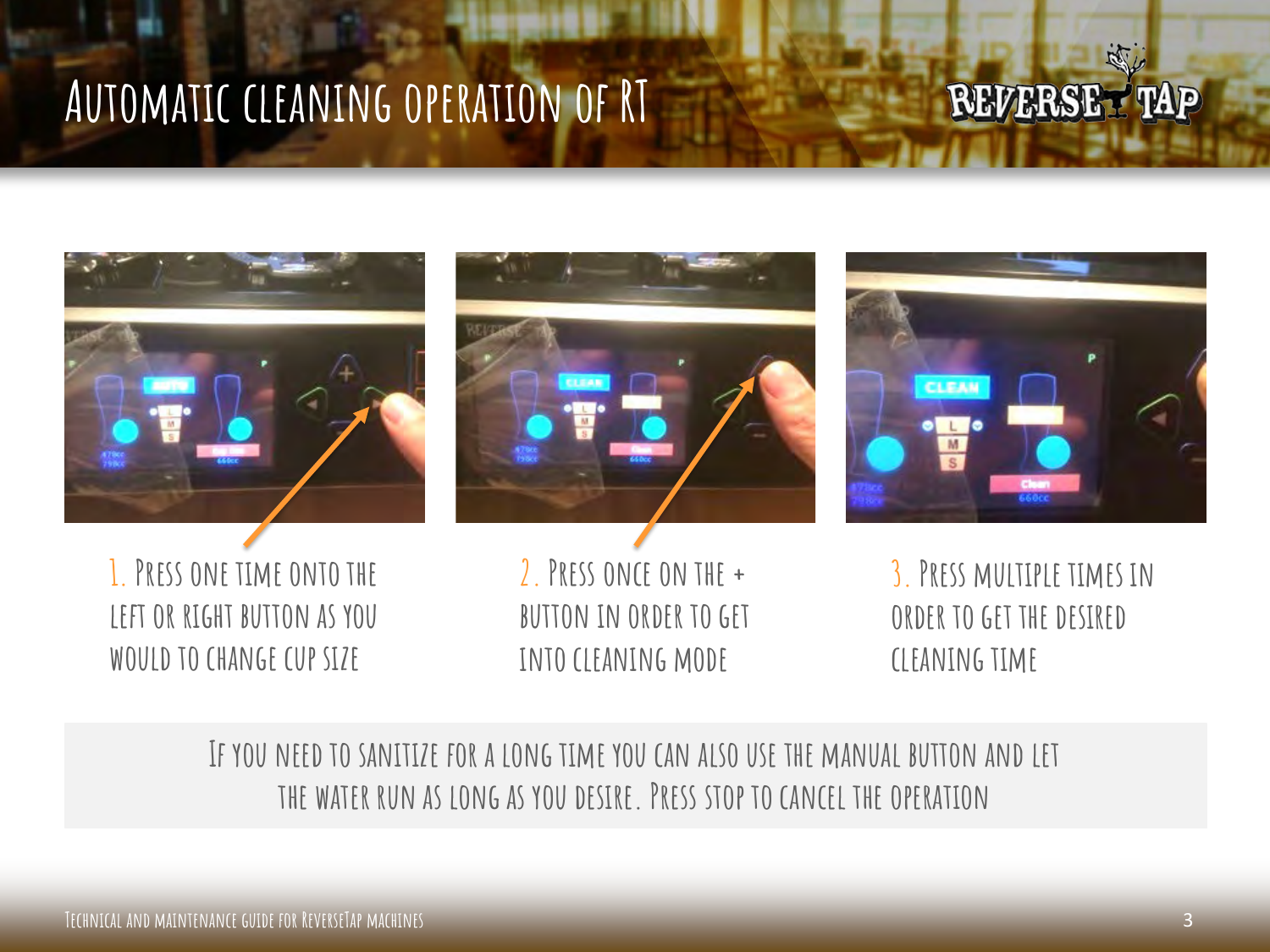### **Automatic cleaning operation of RT**

### **REVERSET TAP**

 $\mathbb{N}$ 







**1. Press one time onto the left or right button as you would to change cup size**

**2. Press once on the + button in order to get into cleaning mode**

**3. Press multiple times in order to get the desired cleaning time**

#### **If you need to sanitize for a long time you can also use the manual button and let the water run as long as you desire. Press stop to cancel the operation**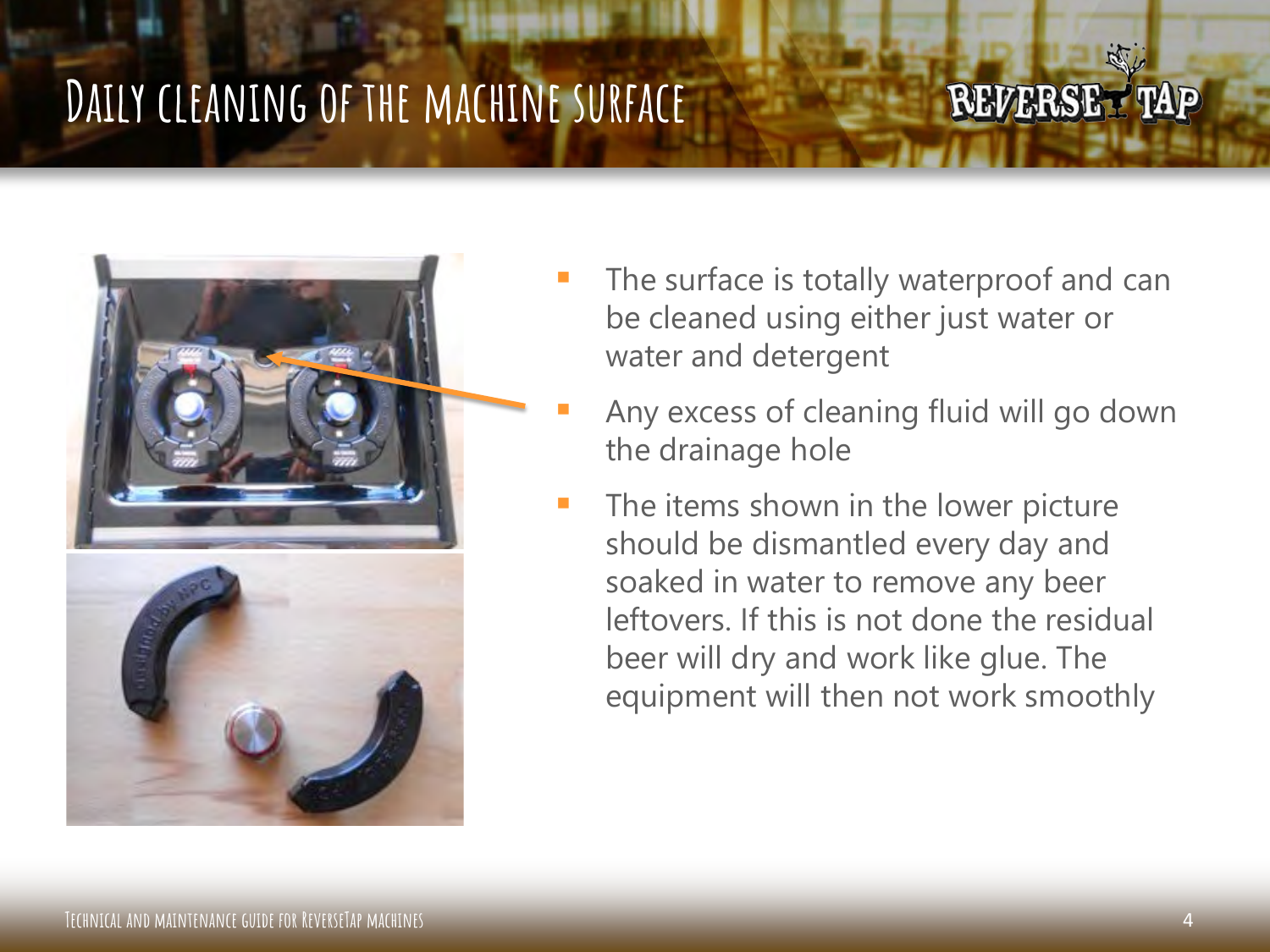# **Daily cleaning of the machine surface**



 The surface is totally waterproof and can be cleaned using either just water or water and detergent

- Any excess of cleaning fluid will go down the drainage hole
- The items shown in the lower picture should be dismantled every day and soaked in water to remove any beer leftovers. If this is not done the residual beer will dry and work like glue. The equipment will then not work smoothly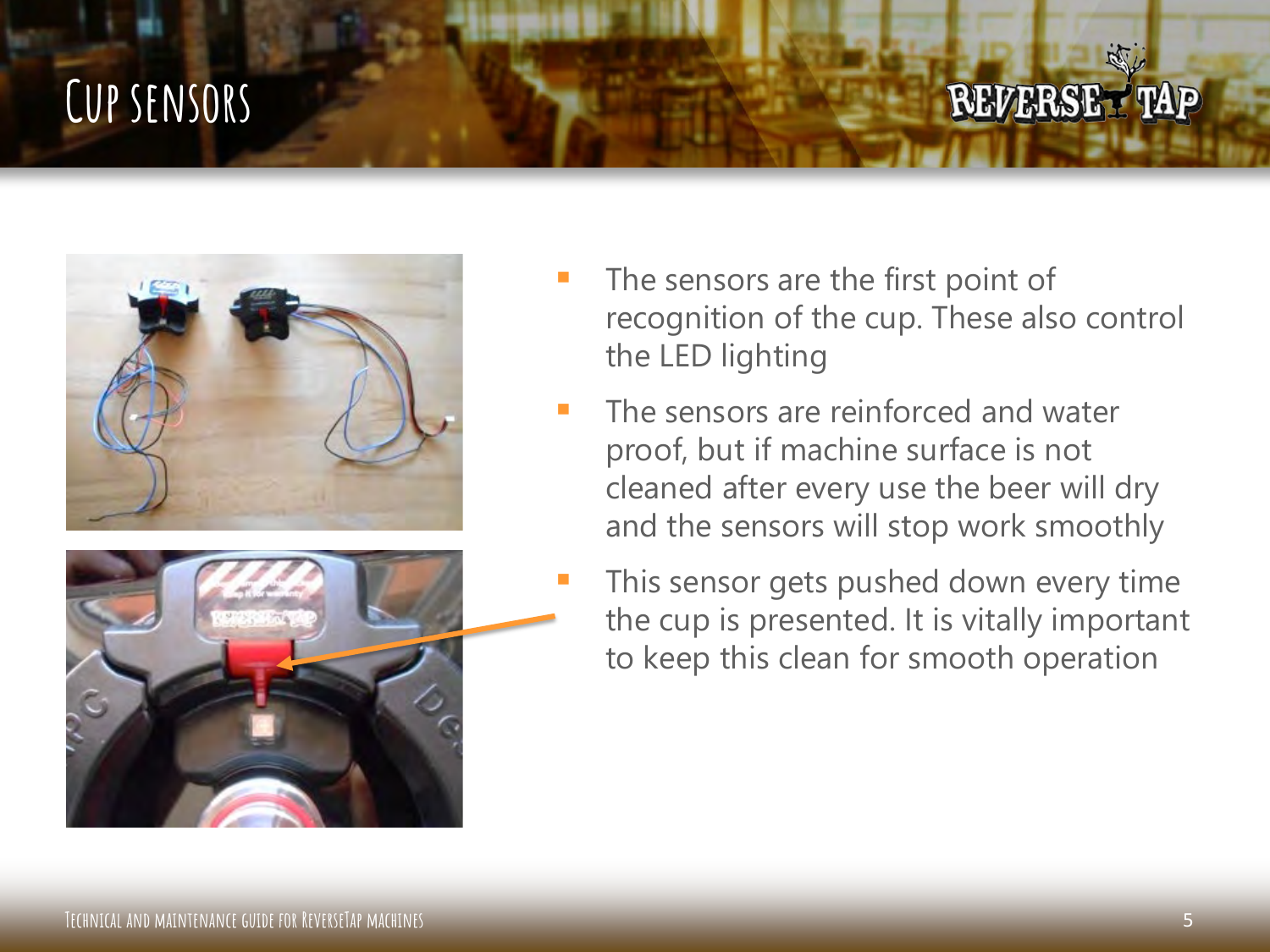## **Cup sensors**





 The sensors are the first point of recognition of the cup. These also control the LED lighting

- The sensors are reinforced and water proof, but if machine surface is not cleaned after every use the beer will dry and the sensors will stop work smoothly
- This sensor gets pushed down every time the cup is presented. It is vitally important to keep this clean for smooth operation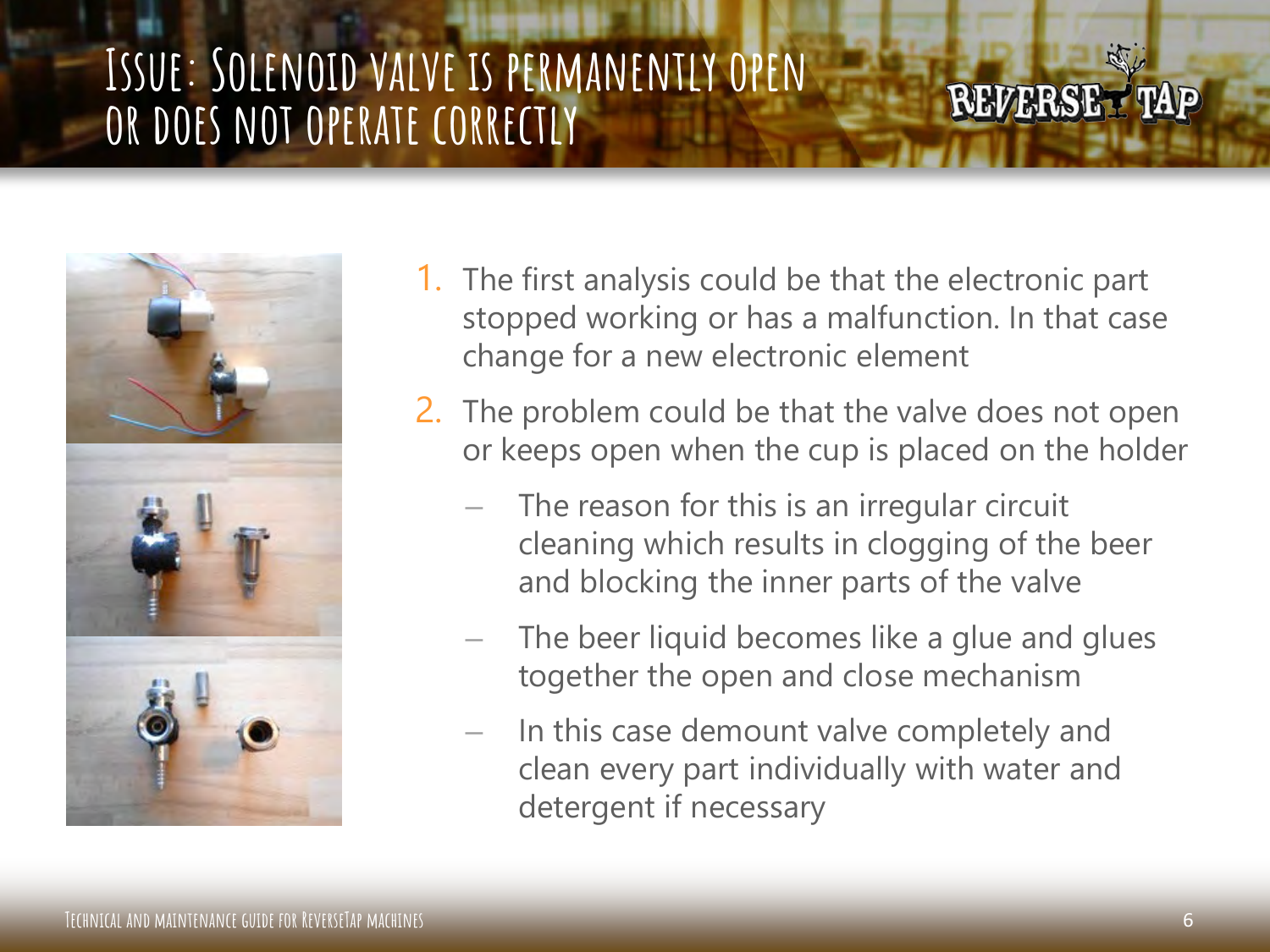### **Issue: Solenoid valve is permanently open or does not operate correctly**



- 1. The first analysis could be that the electronic part stopped working or has a malfunction. In that case change for a new electronic element
- 2. The problem could be that the valve does not open or keeps open when the cup is placed on the holder
	- The reason for this is an irregular circuit cleaning which results in clogging of the beer and blocking the inner parts of the valve
	- The beer liquid becomes like a glue and glues together the open and close mechanism
	- In this case demount valve completely and clean every part individually with water and detergent if necessary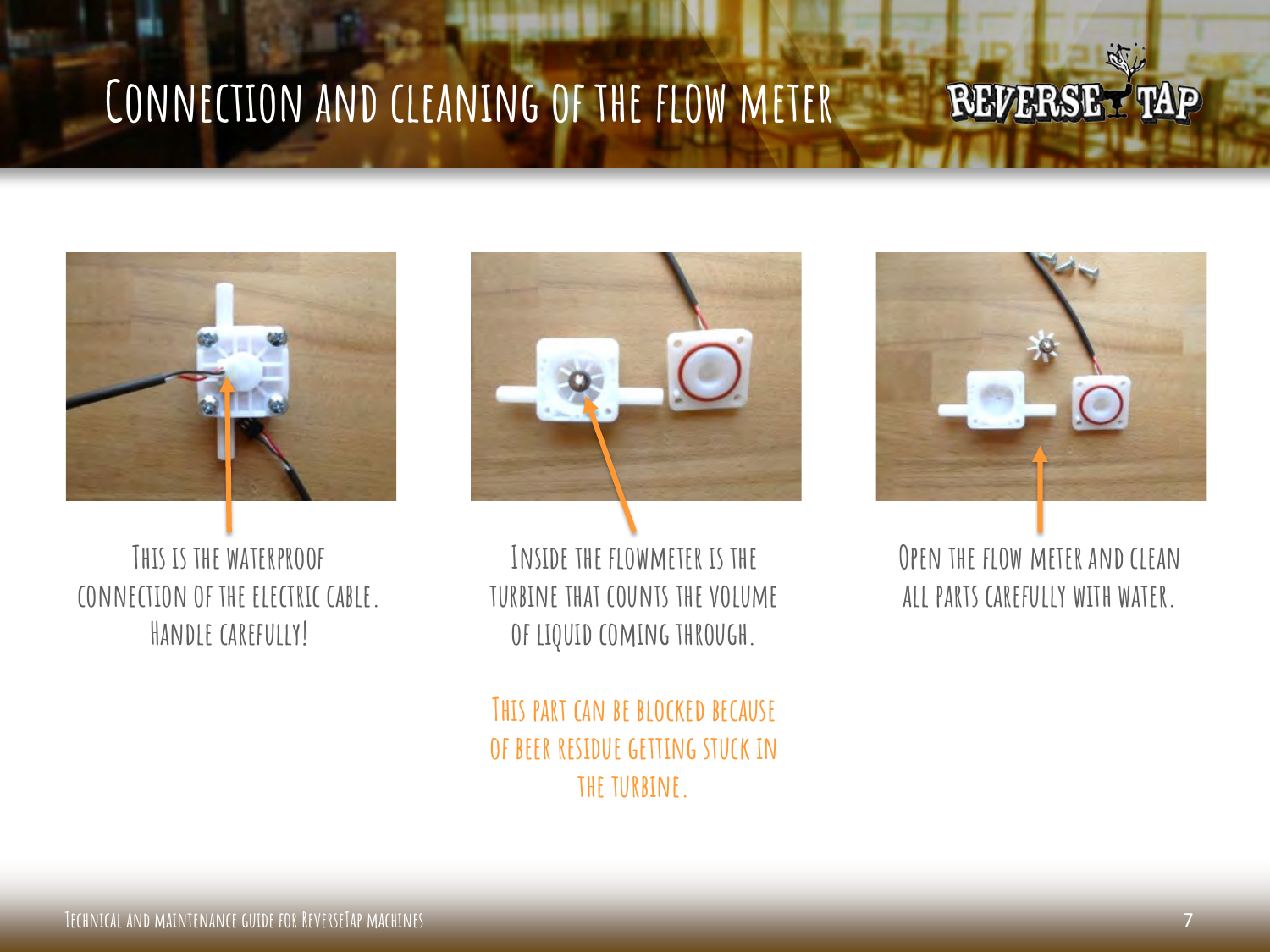#### **Connection and cleaning of the flow meter REVERSET TAP**



**This is the waterproof connection of the electric cable. Handle carefully!**



**Inside the flowmeter is the turbine that counts the volume of liquid coming through.**

**This part can be blocked because of beer residue getting stuck in the turbine.**



 $\mathbb{R}$ 

**Open the flow meter and clean all parts carefully with water.**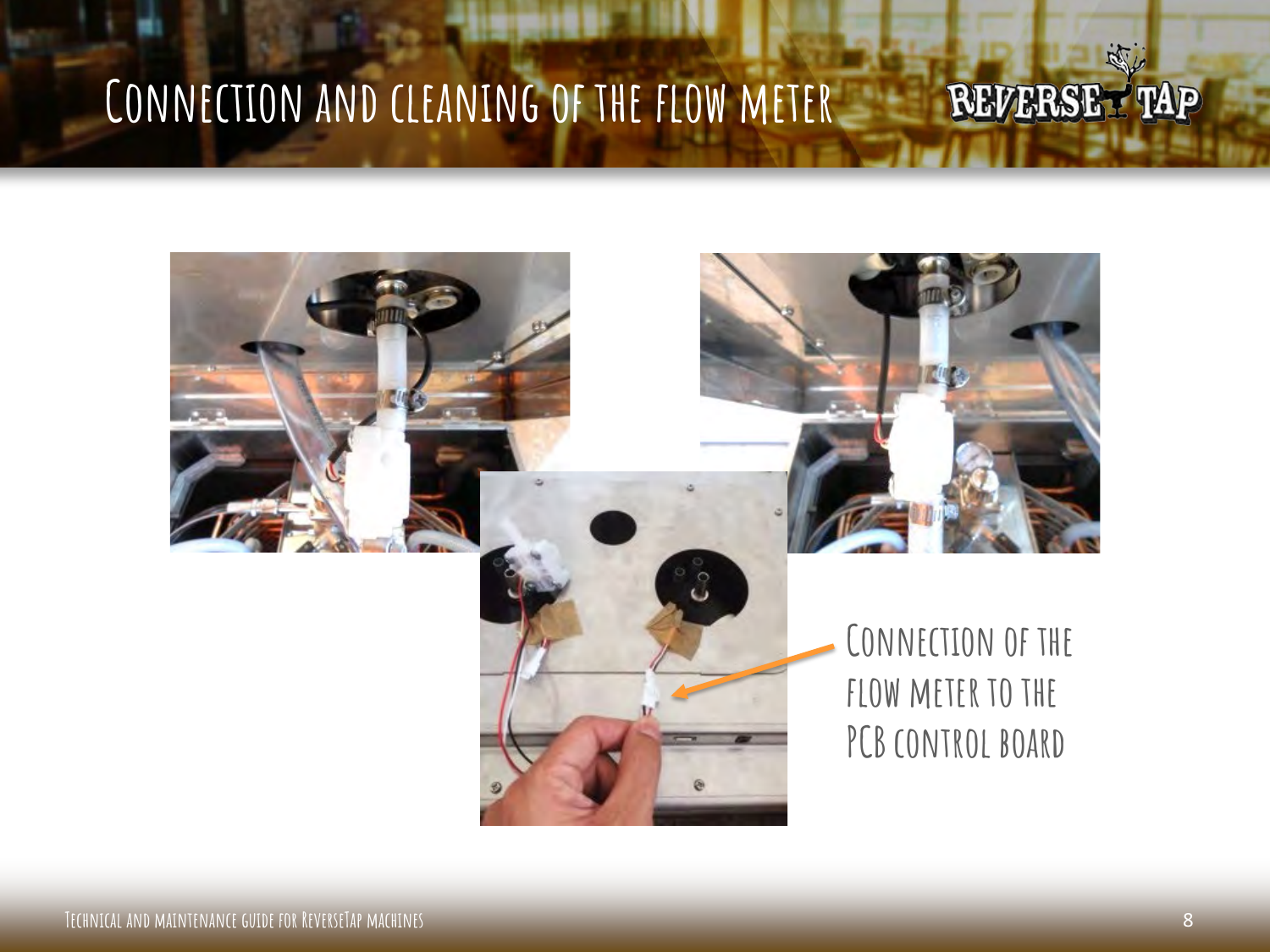# **Connection and cleaning of the flow meter**







**Connection of the fLOW METER TO THE** PCB CONTROL BOARD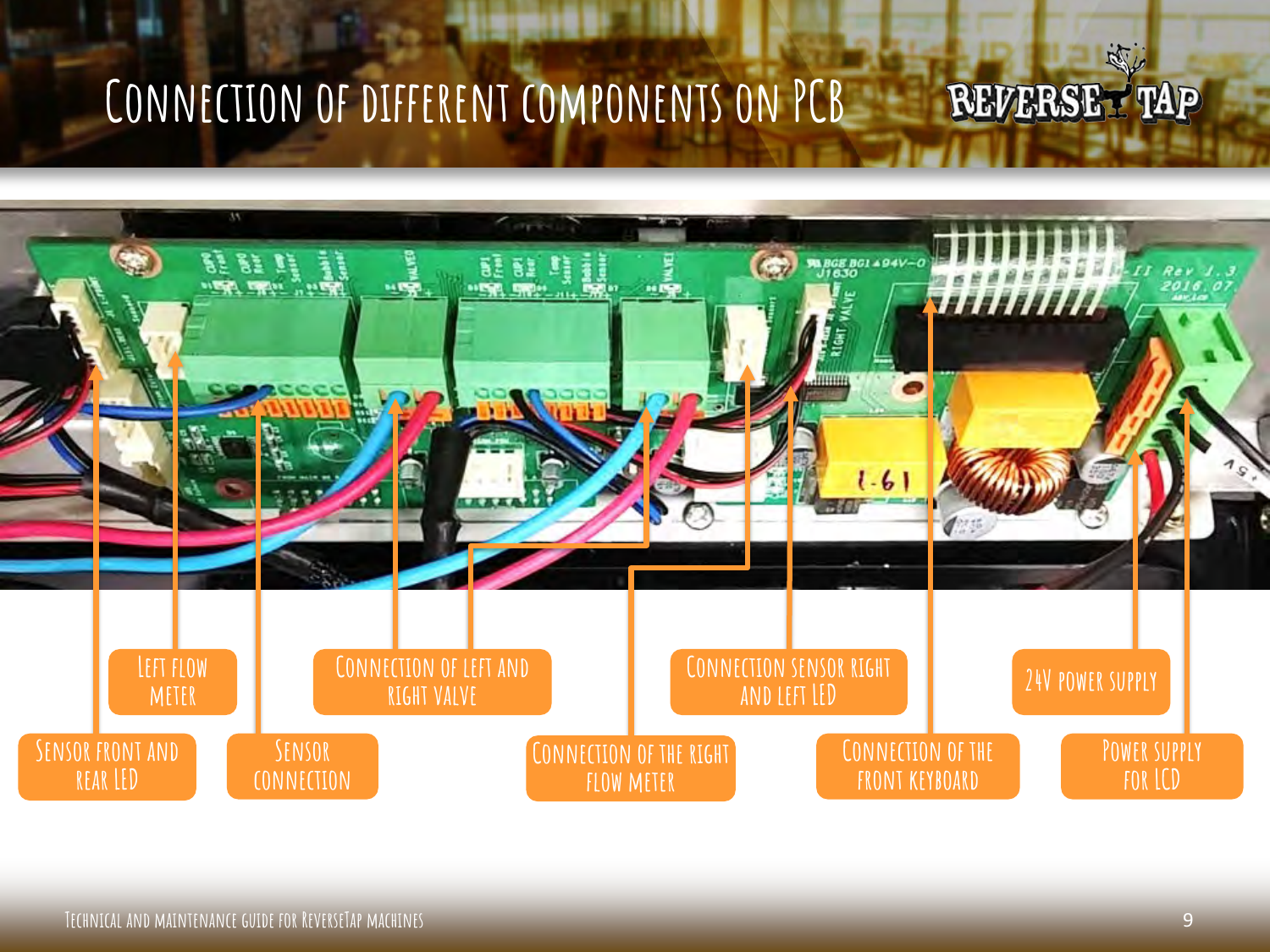## **Connection of different components on PCB**

**LETSHIPS** 



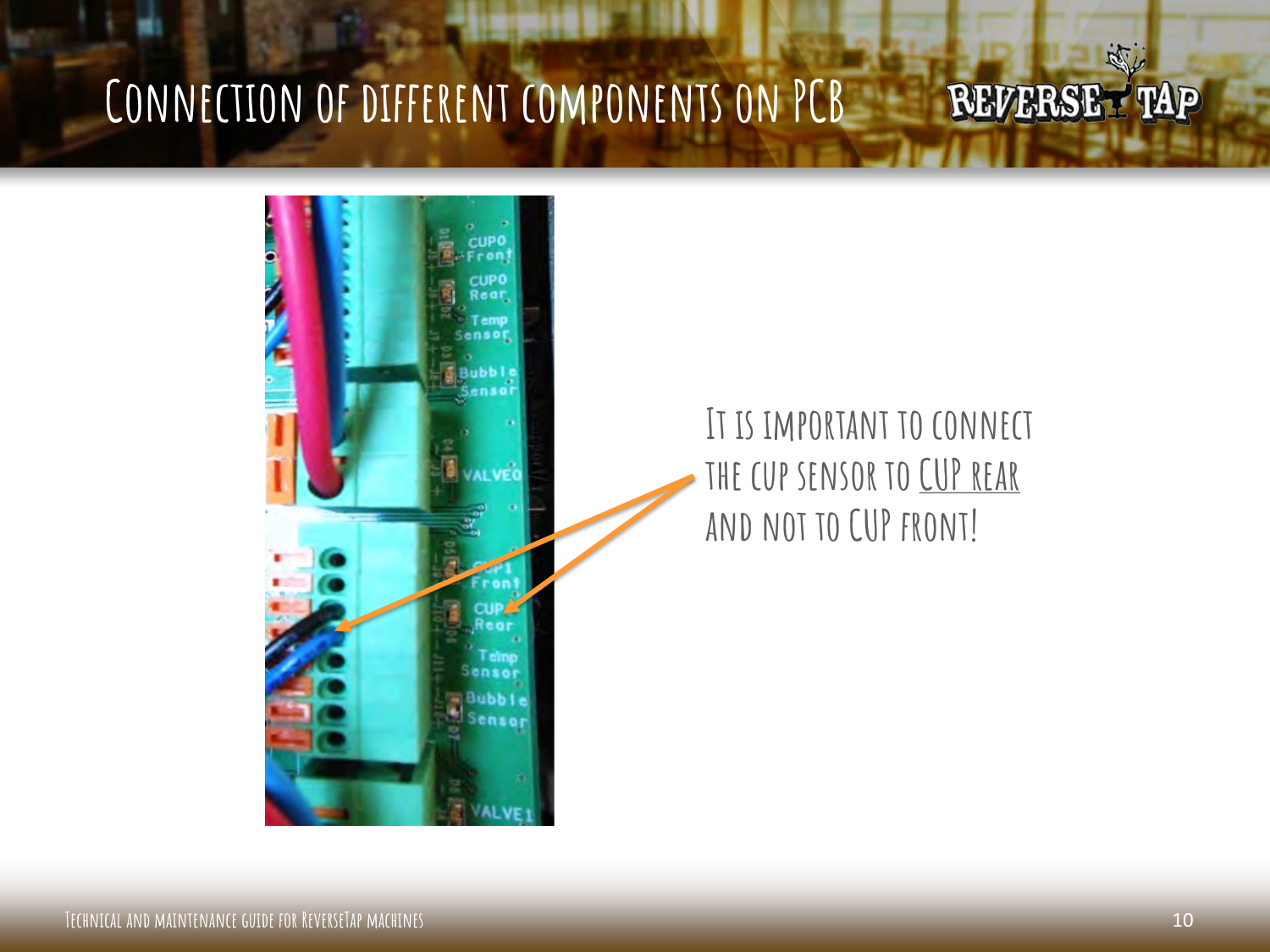

### **It is important to connect the cup sensor to CUP rear and not to CUP front!**

藏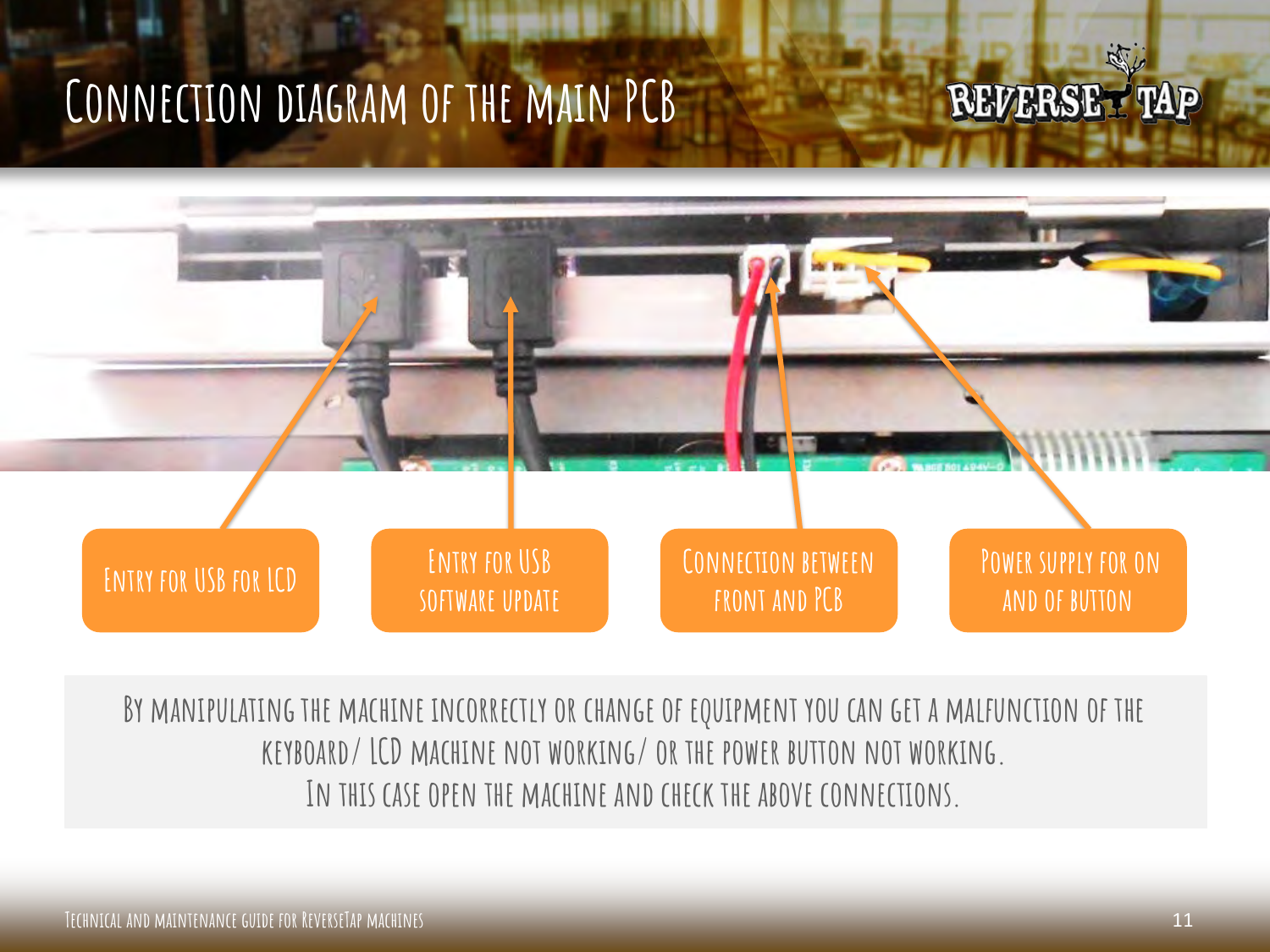## **Connection diagram of the main PCB**

#### RAT L **REVERSET TAP**



**By manipulating the machine incorrectly or change of equipment you can get a malfunction of the keyboard/ LCD machine not working/ or the power button not working. In this case open the machine and check the above connections.**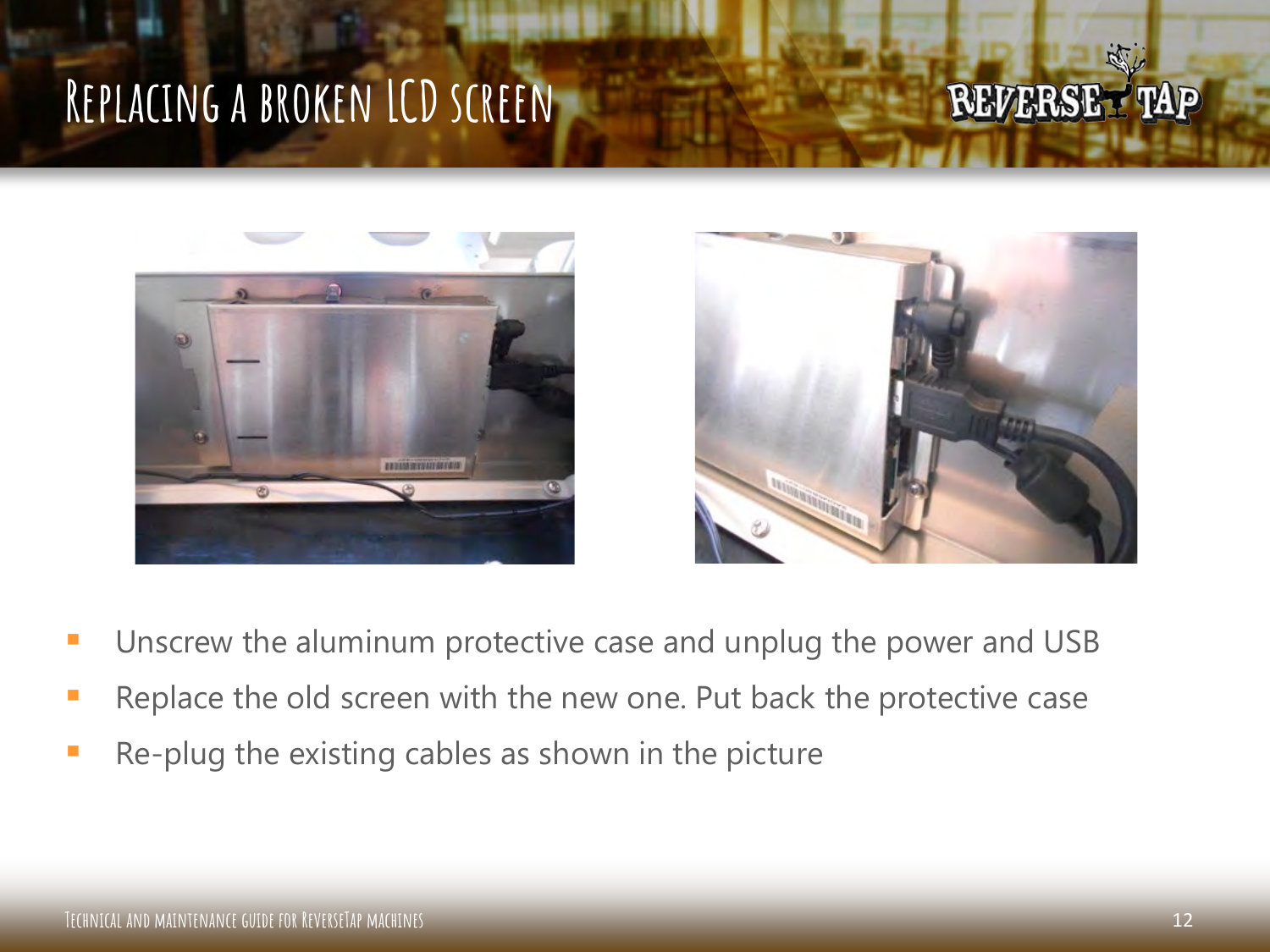### **Replacing a broken LCD screen**





- Unscrew the aluminum protective case and unplug the power and USB
- Replace the old screen with the new one. Put back the protective case
- Re-plug the existing cables as shown in the picture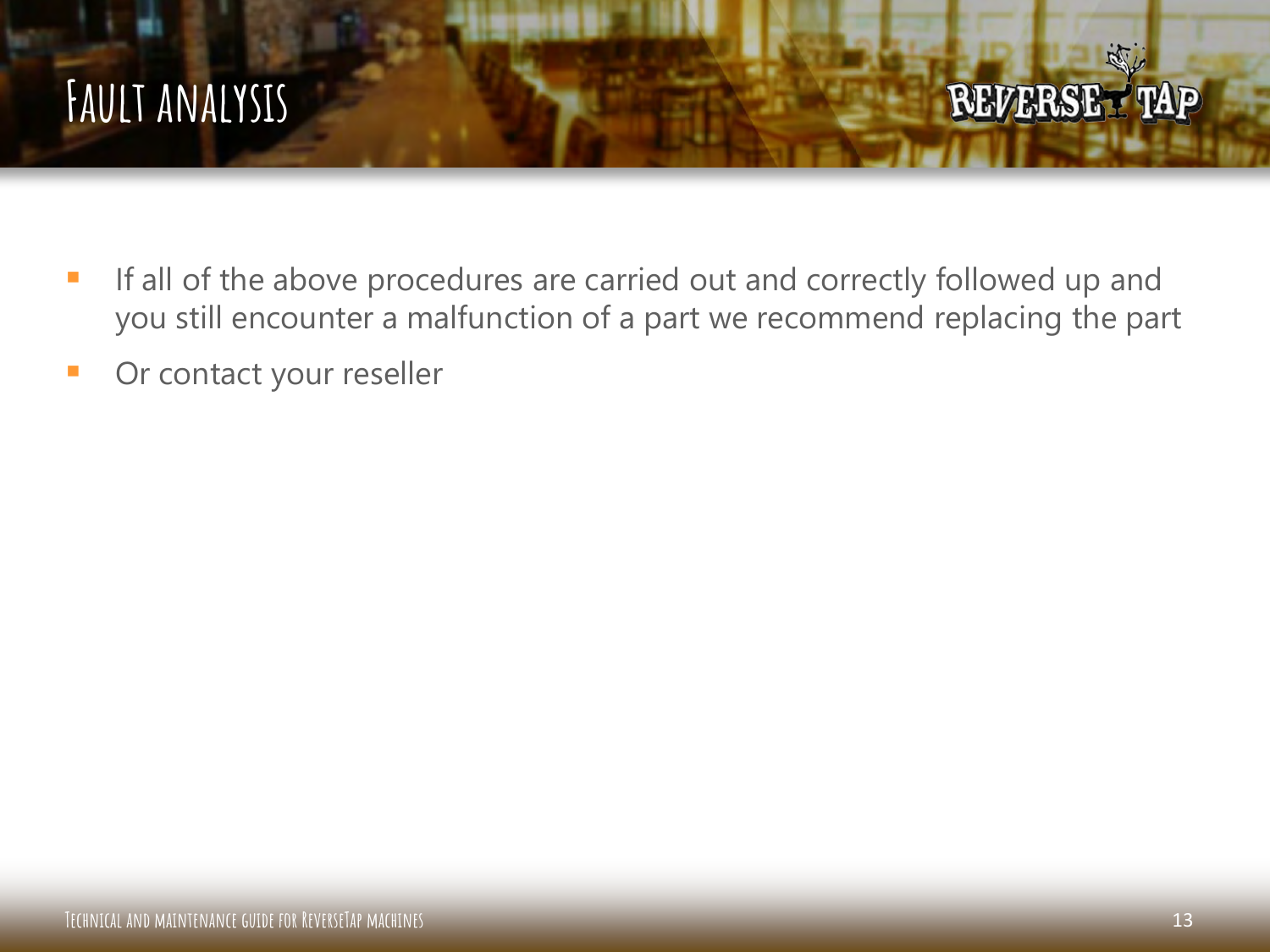### **Fault analysis**

- If all of the above procedures are carried out and correctly followed up and you still encounter a malfunction of a part we recommend replacing the part
- **Or contact your reseller**